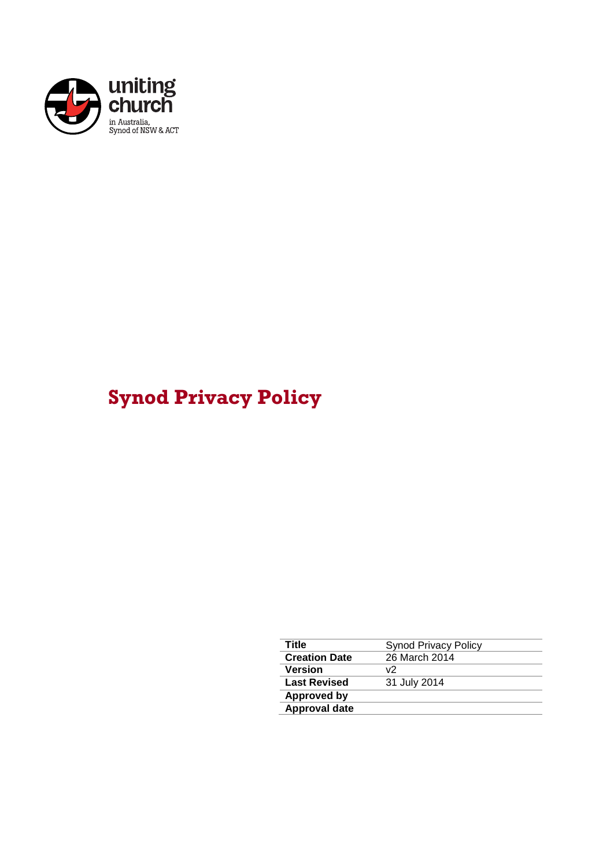

# **Synod Privacy Policy**

| Title                | Synod Privacy Policy |
|----------------------|----------------------|
| <b>Creation Date</b> | 26 March 2014        |
| <b>Version</b>       | v2                   |
| <b>Last Revised</b>  | 31 July 2014         |
| <b>Approved by</b>   |                      |
| <b>Approval date</b> |                      |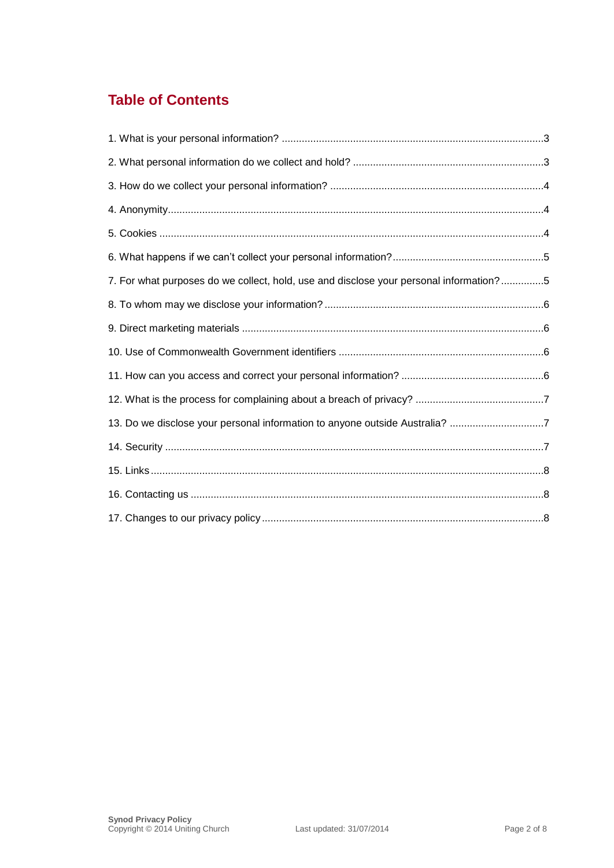## **Table of Contents**

| 7. For what purposes do we collect, hold, use and disclose your personal information?5 |
|----------------------------------------------------------------------------------------|
|                                                                                        |
|                                                                                        |
|                                                                                        |
|                                                                                        |
|                                                                                        |
| 13. Do we disclose your personal information to anyone outside Australia? 7            |
|                                                                                        |
|                                                                                        |
|                                                                                        |
|                                                                                        |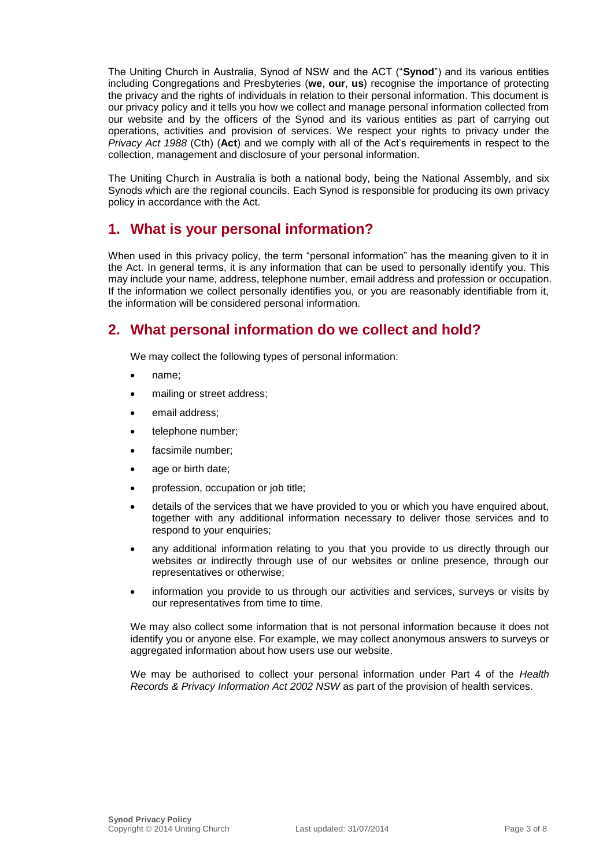The Uniting Church in Australia, Synod of NSW and the ACT ("**Synod**") and its various entities including Congregations and Presbyteries (**we**, **our**, **us**) recognise the importance of protecting the privacy and the rights of individuals in relation to their personal information. This document is our privacy policy and it tells you how we collect and manage personal information collected from our website and by the officers of the Synod and its various entities as part of carrying out operations, activities and provision of services. We respect your rights to privacy under the *Privacy Act 1988* (Cth) (**Act**) and we comply with all of the Act's requirements in respect to the collection, management and disclosure of your personal information.

The Uniting Church in Australia is both a national body, being the National Assembly, and six Synods which are the regional councils. Each Synod is responsible for producing its own privacy policy in accordance with the Act.

## **1. What is your personal information?**

When used in this privacy policy, the term "personal information" has the meaning given to it in the Act. In general terms, it is any information that can be used to personally identify you. This may include your name, address, telephone number, email address and profession or occupation. If the information we collect personally identifies you, or you are reasonably identifiable from it, the information will be considered personal information.

## **2. What personal information do we collect and hold?**

We may collect the following types of personal information:

- name;
- mailing or street address;
- email address;
- telephone number;
- facsimile number;
- age or birth date;
- profession, occupation or job title;
- details of the services that we have provided to you or which you have enquired about, together with any additional information necessary to deliver those services and to respond to your enquiries;
- any additional information relating to you that you provide to us directly through our websites or indirectly through use of our websites or online presence, through our representatives or otherwise;
- information you provide to us through our activities and services, surveys or visits by our representatives from time to time.

We may also collect some information that is not personal information because it does not identify you or anyone else. For example, we may collect anonymous answers to surveys or aggregated information about how users use our website.

We may be authorised to collect your personal information under Part 4 of the *Health Records & Privacy Information Act 2002 NSW* as part of the provision of health services.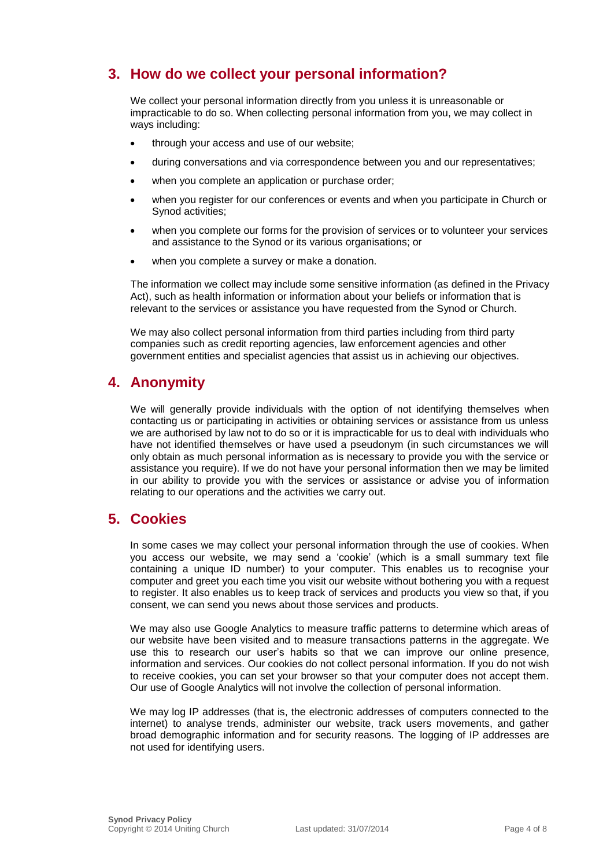## **3. How do we collect your personal information?**

We collect your personal information directly from you unless it is unreasonable or impracticable to do so. When collecting personal information from you, we may collect in ways including:

- through your access and use of our website;
- during conversations and via correspondence between you and our representatives;
- when you complete an application or purchase order;
- when you register for our conferences or events and when you participate in Church or Synod activities;
- when you complete our forms for the provision of services or to volunteer your services and assistance to the Synod or its various organisations; or
- when you complete a survey or make a donation.

The information we collect may include some sensitive information (as defined in the Privacy Act), such as health information or information about your beliefs or information that is relevant to the services or assistance you have requested from the Synod or Church.

We may also collect personal information from third parties including from third party companies such as credit reporting agencies, law enforcement agencies and other government entities and specialist agencies that assist us in achieving our objectives.

## **4. Anonymity**

We will generally provide individuals with the option of not identifying themselves when contacting us or participating in activities or obtaining services or assistance from us unless we are authorised by law not to do so or it is impracticable for us to deal with individuals who have not identified themselves or have used a pseudonym (in such circumstances we will only obtain as much personal information as is necessary to provide you with the service or assistance you require). If we do not have your personal information then we may be limited in our ability to provide you with the services or assistance or advise you of information relating to our operations and the activities we carry out.

## **5. Cookies**

In some cases we may collect your personal information through the use of cookies. When you access our website, we may send a 'cookie' (which is a small summary text file containing a unique ID number) to your computer. This enables us to recognise your computer and greet you each time you visit our website without bothering you with a request to register. It also enables us to keep track of services and products you view so that, if you consent, we can send you news about those services and products.

We may also use Google Analytics to measure traffic patterns to determine which areas of our website have been visited and to measure transactions patterns in the aggregate. We use this to research our user's habits so that we can improve our online presence, information and services. Our cookies do not collect personal information. If you do not wish to receive cookies, you can set your browser so that your computer does not accept them. Our use of Google Analytics will not involve the collection of personal information.

We may log IP addresses (that is, the electronic addresses of computers connected to the internet) to analyse trends, administer our website, track users movements, and gather broad demographic information and for security reasons. The logging of IP addresses are not used for identifying users.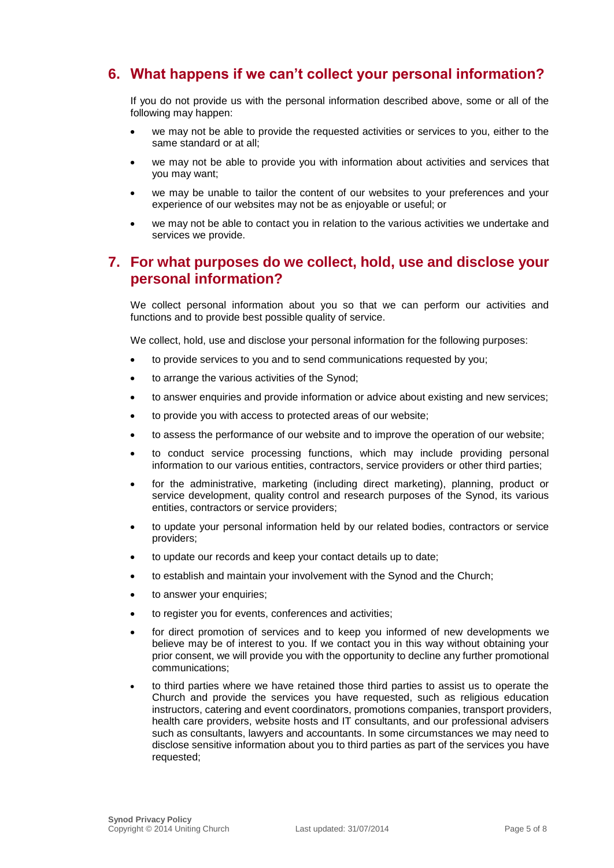## **6. What happens if we can't collect your personal information?**

If you do not provide us with the personal information described above, some or all of the following may happen:

- we may not be able to provide the requested activities or services to you, either to the same standard or at all;
- we may not be able to provide you with information about activities and services that you may want;
- we may be unable to tailor the content of our websites to your preferences and your experience of our websites may not be as enjoyable or useful; or
- we may not be able to contact you in relation to the various activities we undertake and services we provide.

## **7. For what purposes do we collect, hold, use and disclose your personal information?**

We collect personal information about you so that we can perform our activities and functions and to provide best possible quality of service.

We collect, hold, use and disclose your personal information for the following purposes:

- to provide services to you and to send communications requested by you;
- to arrange the various activities of the Synod;
- to answer enquiries and provide information or advice about existing and new services;
- to provide you with access to protected areas of our website;
- to assess the performance of our website and to improve the operation of our website;
- to conduct service processing functions, which may include providing personal information to our various entities, contractors, service providers or other third parties;
- for the administrative, marketing (including direct marketing), planning, product or service development, quality control and research purposes of the Synod, its various entities, contractors or service providers;
- to update your personal information held by our related bodies, contractors or service providers;
- to update our records and keep your contact details up to date;
- to establish and maintain your involvement with the Synod and the Church;
- to answer your enquiries;
- to register you for events, conferences and activities;
- for direct promotion of services and to keep you informed of new developments we believe may be of interest to you. If we contact you in this way without obtaining your prior consent, we will provide you with the opportunity to decline any further promotional communications;
- to third parties where we have retained those third parties to assist us to operate the Church and provide the services you have requested, such as religious education instructors, catering and event coordinators, promotions companies, transport providers, health care providers, website hosts and IT consultants, and our professional advisers such as consultants, lawyers and accountants. In some circumstances we may need to disclose sensitive information about you to third parties as part of the services you have requested;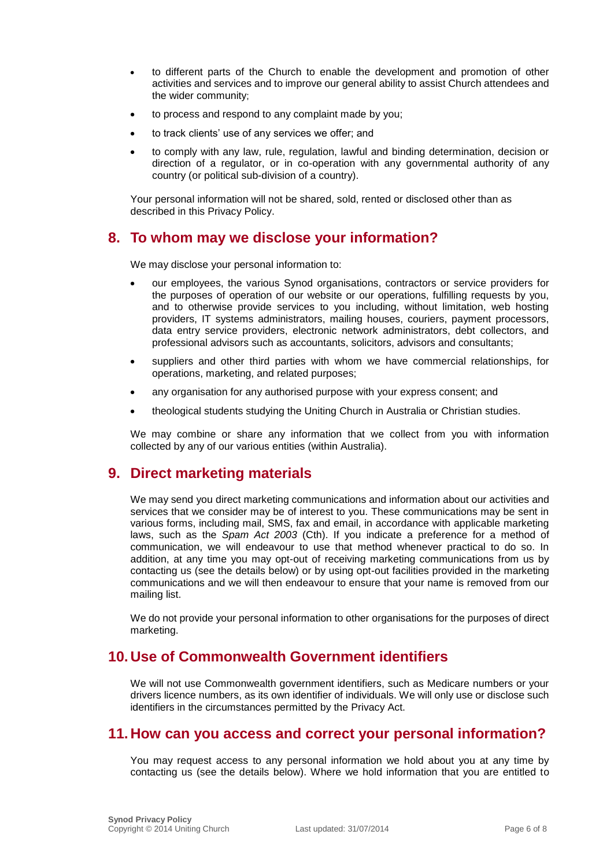- to different parts of the Church to enable the development and promotion of other activities and services and to improve our general ability to assist Church attendees and the wider community;
- to process and respond to any complaint made by you;
- to track clients' use of any services we offer; and
- to comply with any law, rule, regulation, lawful and binding determination, decision or direction of a regulator, or in co-operation with any governmental authority of any country (or political sub-division of a country).

Your personal information will not be shared, sold, rented or disclosed other than as described in this Privacy Policy.

## **8. To whom may we disclose your information?**

We may disclose your personal information to:

- our employees, the various Synod organisations, contractors or service providers for the purposes of operation of our website or our operations, fulfilling requests by you, and to otherwise provide services to you including, without limitation, web hosting providers, IT systems administrators, mailing houses, couriers, payment processors, data entry service providers, electronic network administrators, debt collectors, and professional advisors such as accountants, solicitors, advisors and consultants;
- suppliers and other third parties with whom we have commercial relationships, for operations, marketing, and related purposes;
- any organisation for any authorised purpose with your express consent; and
- theological students studying the Uniting Church in Australia or Christian studies.

We may combine or share any information that we collect from you with information collected by any of our various entities (within Australia).

#### **9. Direct marketing materials**

We may send you direct marketing communications and information about our activities and services that we consider may be of interest to you. These communications may be sent in various forms, including mail, SMS, fax and email, in accordance with applicable marketing laws, such as the *Spam Act 2003* (Cth). If you indicate a preference for a method of communication, we will endeavour to use that method whenever practical to do so. In addition, at any time you may opt-out of receiving marketing communications from us by contacting us (see the details below) or by using opt-out facilities provided in the marketing communications and we will then endeavour to ensure that your name is removed from our mailing list.

We do not provide your personal information to other organisations for the purposes of direct marketing.

## **10. Use of Commonwealth Government identifiers**

We will not use Commonwealth government identifiers, such as Medicare numbers or your drivers licence numbers, as its own identifier of individuals. We will only use or disclose such identifiers in the circumstances permitted by the Privacy Act.

#### **11. How can you access and correct your personal information?**

You may request access to any personal information we hold about you at any time by contacting us (see the details below). Where we hold information that you are entitled to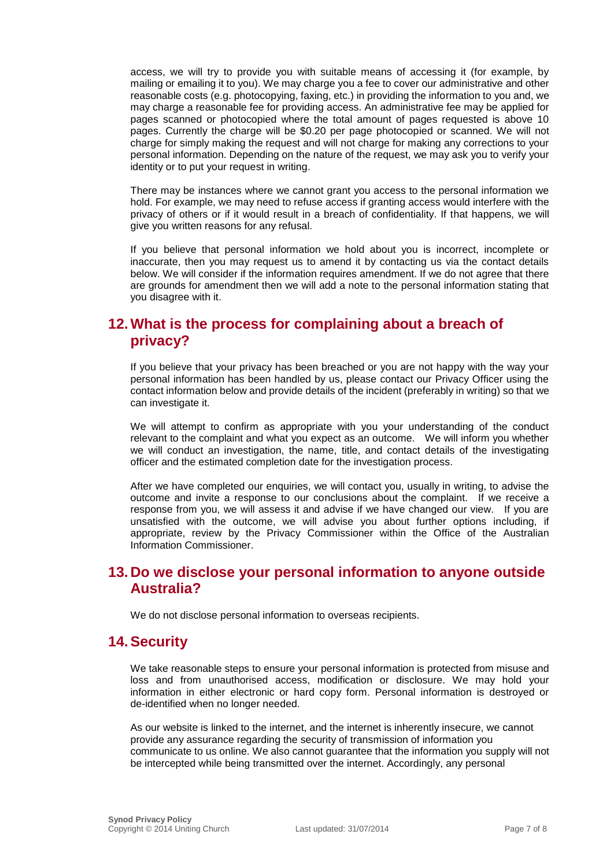access, we will try to provide you with suitable means of accessing it (for example, by mailing or emailing it to you). We may charge you a fee to cover our administrative and other reasonable costs (e.g. photocopying, faxing, etc.) in providing the information to you and, we may charge a reasonable fee for providing access. An administrative fee may be applied for pages scanned or photocopied where the total amount of pages requested is above 10 pages. Currently the charge will be \$0.20 per page photocopied or scanned. We will not charge for simply making the request and will not charge for making any corrections to your personal information. Depending on the nature of the request, we may ask you to verify your identity or to put your request in writing.

There may be instances where we cannot grant you access to the personal information we hold. For example, we may need to refuse access if granting access would interfere with the privacy of others or if it would result in a breach of confidentiality. If that happens, we will give you written reasons for any refusal.

If you believe that personal information we hold about you is incorrect, incomplete or inaccurate, then you may request us to amend it by contacting us via the contact details below. We will consider if the information requires amendment. If we do not agree that there are grounds for amendment then we will add a note to the personal information stating that you disagree with it.

## **12.What is the process for complaining about a breach of privacy?**

If you believe that your privacy has been breached or you are not happy with the way your personal information has been handled by us, please contact our Privacy Officer using the contact information below and provide details of the incident (preferably in writing) so that we can investigate it.

We will attempt to confirm as appropriate with you your understanding of the conduct relevant to the complaint and what you expect as an outcome. We will inform you whether we will conduct an investigation, the name, title, and contact details of the investigating officer and the estimated completion date for the investigation process.

After we have completed our enquiries, we will contact you, usually in writing, to advise the outcome and invite a response to our conclusions about the complaint. If we receive a response from you, we will assess it and advise if we have changed our view. If you are unsatisfied with the outcome, we will advise you about further options including, if appropriate, review by the Privacy Commissioner within the Office of the Australian Information Commissioner.

## **13. Do we disclose your personal information to anyone outside Australia?**

We do not disclose personal information to overseas recipients.

#### **14.Security**

We take reasonable steps to ensure your personal information is protected from misuse and loss and from unauthorised access, modification or disclosure. We may hold your information in either electronic or hard copy form. Personal information is destroyed or de-identified when no longer needed.

As our website is linked to the internet, and the internet is inherently insecure, we cannot provide any assurance regarding the security of transmission of information you communicate to us online. We also cannot guarantee that the information you supply will not be intercepted while being transmitted over the internet. Accordingly, any personal